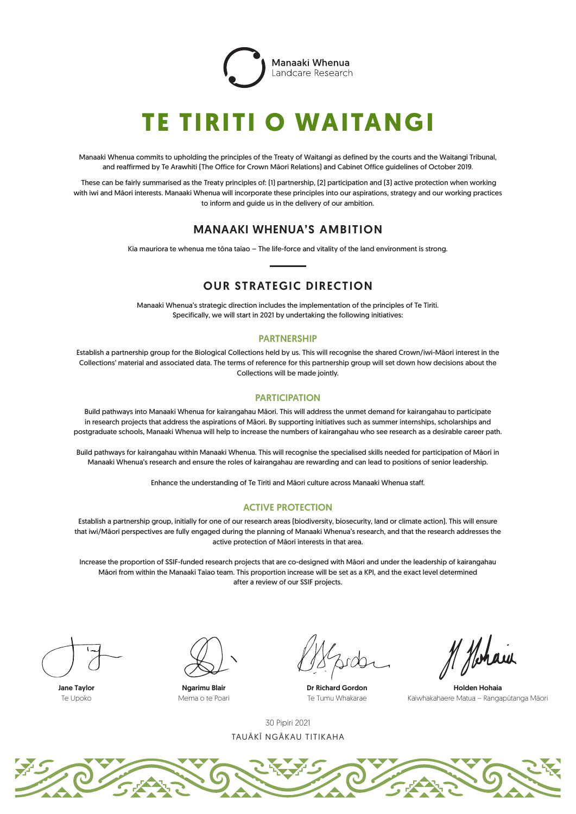

# **TE TIRITI O WAITANGI**

Manaaki Whenua commits to upholding the principles of the Treaty of Waitangi as defined by the courts and the Waitangi Tribunal, and reaffirmed by Te Arawhiti (The Office for Crown Māori Relations) and Cabinet Office guidelines of October 2019.

 These can be fairly summarised as the Treaty principles of: (1) partnership, (2) participation and (3) active protection when working with iwi and Māori interests. Manaaki Whenua will incorporate these principles into our aspirations, strategy and our working practices to inform and guide us in the delivery of our ambition.

## MANAAKI WHENUA'S AMBITION

Kia mauriora te whenua me tōna taiao – The life-force and vitality of the land environment is strong.

# OUR STRATEGIC DIRECTION

Manaaki Whenua's strategic direction includes the implementation of the principles of Te Tiriti. Specifically, we will start in 2021 by undertaking the following initiatives:

#### PARTNERSHIP

Establish a partnership group for the Biological Collections held by us. This will recognise the shared Crown/iwi-Māori interest in the Collections' material and associated data. The terms of reference for this partnership group will set down how decisions about the Collections will be made jointly.

#### **PARTICIPATION**

Build pathways into Manaaki Whenua for kairangahau Māori. This will address the unmet demand for kairangahau to participate in research projects that address the aspirations of Māori. By supporting initiatives such as summer internships, scholarships and postgraduate schools, Manaaki Whenua will help to increase the numbers of kairangahau who see research as a desirable career path.

Build pathways for kairangahau within Manaaki Whenua. This will recognise the specialised skills needed for participation of Māori in Manaaki Whenua's research and ensure the roles of kairangahau are rewarding and can lead to positions of senior leadership.

Enhance the understanding of Te Tiriti and Māori culture across Manaaki Whenua staff.

### ACTIVE PROTECTION

Establish a partnership group, initially for one of our research areas (biodiversity, biosecurity, land or climate action). This will ensure that iwi/Māori perspectives are fully engaged during the planning of Manaaki Whenua's research, and that the research addresses the active protection of Māori interests in that area.

Increase the proportion of SSIF-funded research projects that are co-designed with Māori and under the leadership of kairangahau Māori from within the Manaaki Taiao team. This proportion increase will be set as a KPI, and the exact level determined after a review of our SSIF projects.



Jane Taylor  $Ta$  Upoko



Ngarimu Blair Mema o te Poari

Dr Richard Gordon Te Tumu Whakarae

Holden Hohaia Kaiwhakahaere Matua – Rangapūtanga Māori

TAUĀKĪ NGĀKAU TITIKAHA 30 Pipiri 2021